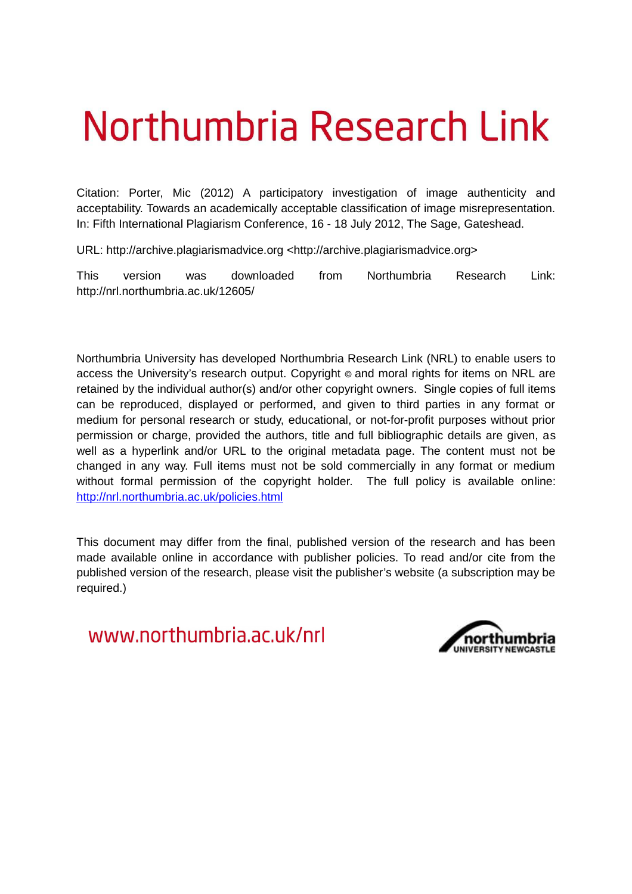## Northumbria Research Link

Citation: Porter, Mic (2012) A participatory investigation of image authenticity and acceptability. Towards an academically acceptable classification of image misrepresentation. In: Fifth International Plagiarism Conference, 16 - 18 July 2012, The Sage, Gateshead.

URL: http://archive.plagiarismadvice.org <http://archive.plagiarismadvice.org>

This version was downloaded from Northumbria Research Link: http://nrl.northumbria.ac.uk/12605/

Northumbria University has developed Northumbria Research Link (NRL) to enable users to access the University's research output. Copyright © and moral rights for items on NRL are retained by the individual author(s) and/or other copyright owners. Single copies of full items can be reproduced, displayed or performed, and given to third parties in any format or medium for personal research or study, educational, or not-for-profit purposes without prior permission or charge, provided the authors, title and full bibliographic details are given, as well as a hyperlink and/or URL to the original metadata page. The content must not be changed in any way. Full items must not be sold commercially in any format or medium without formal permission of the copyright holder. The full policy is available online: <http://nrl.northumbria.ac.uk/policies.html>

This document may differ from the final, published version of the research and has been made available online in accordance with publisher policies. To read and/or cite from the published version of the research, please visit the publisher's website (a subscription may be required.)

www.northumbria.ac.uk/nrl

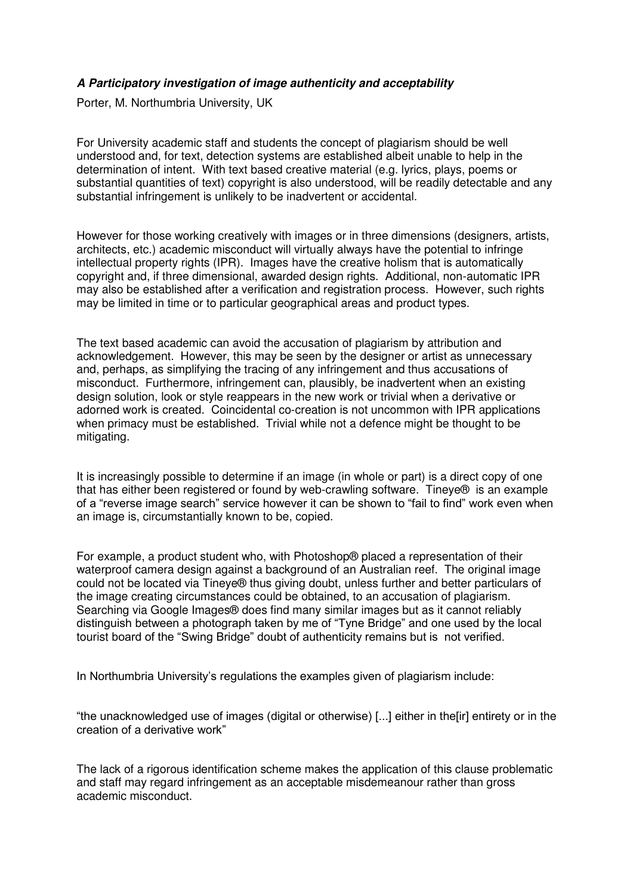## *A Participatory investigation of image authenticity and acceptability*

Porter, M. Northumbria University, UK

For University academic staff and students the concept of plagiarism should be well understood and, for text, detection systems are established albeit unable to help in the determination of intent. With text based creative material (e.g. lyrics, plays, poems or substantial quantities of text) copyright is also understood, will be readily detectable and any substantial infringement is unlikely to be inadvertent or accidental.

However for those working creatively with images or in three dimensions (designers, artists, architects, etc.) academic misconduct will virtually always have the potential to infringe intellectual property rights (IPR). Images have the creative holism that is automatically copyright and, if three dimensional, awarded design rights. Additional, non-automatic IPR may also be established after a verification and registration process. However, such rights may be limited in time or to particular geographical areas and product types.

The text based academic can avoid the accusation of plagiarism by attribution and acknowledgement. However, this may be seen by the designer or artist as unnecessary and, perhaps, as simplifying the tracing of any infringement and thus accusations of misconduct. Furthermore, infringement can, plausibly, be inadvertent when an existing design solution, look or style reappears in the new work or trivial when a derivative or adorned work is created. Coincidental co-creation is not uncommon with IPR applications when primacy must be established. Trivial while not a defence might be thought to be mitigating.

It is increasingly possible to determine if an image (in whole or part) is a direct copy of one that has either been registered or found by web-crawling software. Tineye® is an example of a "reverse image search" service however it can be shown to "fail to find" work even when an image is, circumstantially known to be, copied.

For example, a product student who, with Photoshop® placed a representation of their waterproof camera design against a background of an Australian reef. The original image could not be located via Tineye® thus giving doubt, unless further and better particulars of the image creating circumstances could be obtained, to an accusation of plagiarism. Searching via Google Images® does find many similar images but as it cannot reliably distinguish between a photograph taken by me of "Tyne Bridge" and one used by the local tourist board of the "Swing Bridge" doubt of authenticity remains but is not verified.

In Northumbria University's regulations the examples given of plagiarism include:

"the unacknowledged use of images (digital or otherwise) [...] either in the[ir] entirety or in the creation of a derivative work"

The lack of a rigorous identification scheme makes the application of this clause problematic and staff may regard infringement as an acceptable misdemeanour rather than gross academic misconduct.